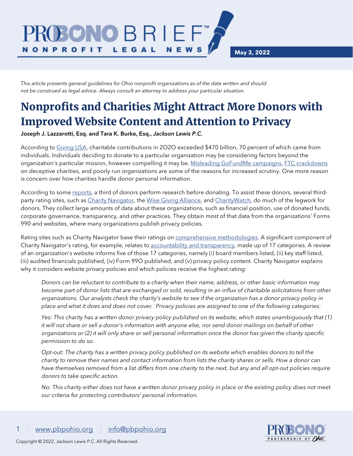**May 3, 2022**

*This article presents general guidelines for Ohio nonprofit organizations as of the date written and should not be construed as legal advice. Always consult an attorney to address your particular situation.*

LEGAL

## Nonprofits and Charities Might Attract More Donors with Improved Website Content and Attention to Privacy

**NEWS** 

Joseph J. Lazzarotti, Esq. and Tara K. Burke, Esq., *Jackson Lewis P.C.*

RODNO BRIEF

**NONPROFIT** 

According to [Giving USA,](https://www.qgiv.com/blog/giving-usa-2021/) charitable contributions in 2O2O exceeded \$470 billion, 70 percent of which came from individuals. Individuals deciding to donate to a particular organization may be considering factors beyond the organization's particular mission, however compelling it may be. [Misleading GoFundMe campaigns,](https://www.businessinsider.com/gofundme-campaign-scam-2018-12) [FTC crackdowns](https://www.ftc.gov/charity-0) on deceptive charities, and poorly run organizations are some of the reasons for increased scrutiny. One more reason is concern over how charities handle donor personal information.

According to som[e reports,](https://neonone.com/resources/blog/year-end-giving-statistics/#:%7E:text=Two-thirds%20of%20people%20who%20make%20donations%20do%20no,one%20of%20the%20most%20effective%20forms%20of%20marketing.) a third of donors perform research before donating. To assist these donors, several third-party rating sites, such as [Charity Navigator,](https://www.charitynavigator.org/) th[e Wise Giving Alliance,](https://www.give.org/) and [CharityWatch,](https://www.charitywatch.org/) do much of the legwork for donors. They collect large amounts of data about these organizations, such as financial position, use of donated funds, corporate governance, transparency, and other practices. They obtain most of that data from the organizations' Forms 990 and websites, where many organizations publish privacy policies.

Rating sites such as Charity Navigator base their ratings on [comprehensive methodologies.](https://www.charitynavigator.org/index.cfm?bay=content.view&cpid=5593) A significant component of Charity Navigator's rating, for example, relates t[o accountability and transparency,](https://www.charitynavigator.org/index.cfm?bay=content.view&cpid=1093) made up of 17 categories. A review of an organization's website informs five of those 17 categories, namely (i) board members listed, (ii) key staff listed, (iii) audited financials published, (iv) Form 99O published, and (v) privacy policy content. Charity Navigator explains why it considers website privacy policies and which policies receive the highest rating:

*Donors can be reluctant to contribute to a charity when their name, address, or other basic information may become part of donor lists that are exchanged or sold, resulting in an influx of charitable solicitations from other organizations. Our analysts check the charity's website to see if the organization has a donor privacy policy in place and what it does and does not cover. Privacy policies are assigned to one of the following categories:*

*Yes: This charity has a written donor privacy policy published on its website, which states unambiguously that (1) it will not share or sell a donor's information with anyone else, nor send donor mailings on behalf of other organizations or (2) it will only share or sell personal information once the donor has given the charity specific permission to do so.*

*Opt-out: The charity has a written privacy policy published on its website which enables donors to tell the charity to remove their names and contact information from lists the charity shares or sells. How a donor can*  have themselves removed from a list differs from one charity to the next, but any and all opt-out policies require *donors to take specific action.*

*No: This charity either does not have a written donor privacy policy in place or the existing policy does not meet our criteria for protecting contributors' personal information.*